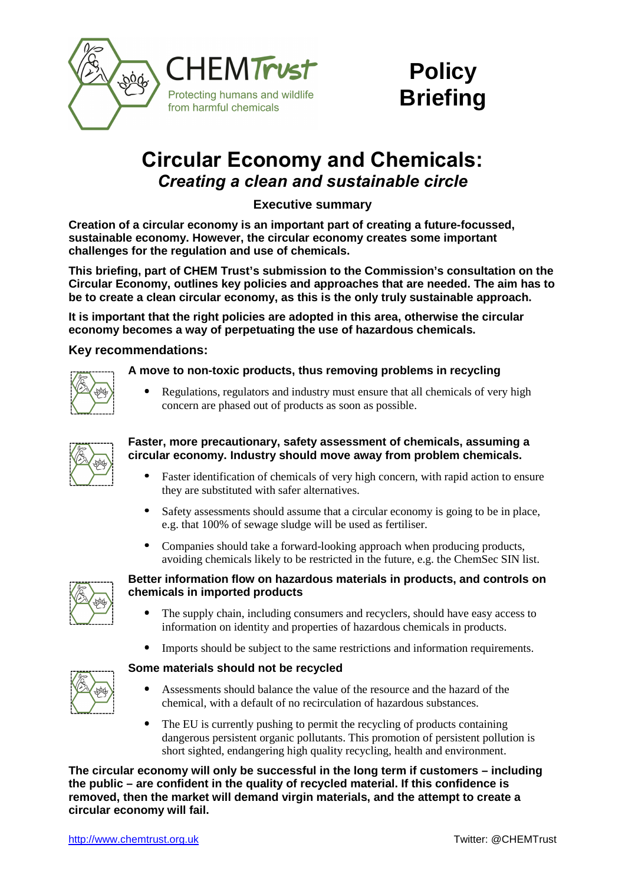



# **Circular Economy and Chemicals:** *Creating a clean and sustainable circle*

**Executive summary** 

**Creation of a circular economy is an important part of creating a future-focussed, sustainable economy. However, the circular economy creates some important challenges for the regulation and use of chemicals.**

**This briefing, part of CHEM Trust's submission to the Commission's consultation on the Circular Economy, outlines key policies and approaches that are needed. The aim has to be to create a clean circular economy, as this is the only truly sustainable approach.** 

**It is important that the right policies are adopted in this area, otherwise the circular economy becomes a way of perpetuating the use of hazardous chemicals.** 

## **Key recommendations:**



### **A move to non-toxic products, thus removing problems in recycling**

• Regulations, regulators and industry must ensure that all chemicals of very high concern are phased out of products as soon as possible.

| <u>sod</u> |
|------------|
|            |
|            |

### **Faster, more precautionary, safety assessment of chemicals, assuming a circular economy. Industry should move away from problem chemicals.**

- Faster identification of chemicals of very high concern, with rapid action to ensure they are substituted with safer alternatives.
- Safety assessments should assume that a circular economy is going to be in place, e.g. that 100% of sewage sludge will be used as fertiliser.
- Companies should take a forward-looking approach when producing products, avoiding chemicals likely to be restricted in the future, e.g. the ChemSec SIN list.



## **Better information flow on hazardous materials in products, and controls on chemicals in imported products**

- The supply chain, including consumers and recyclers, should have easy access to information on identity and properties of hazardous chemicals in products.
- Imports should be subject to the same restrictions and information requirements.

### **Some materials should not be recycled**

- Assessments should balance the value of the resource and the hazard of the chemical, with a default of no recirculation of hazardous substances.
- The EU is currently pushing to permit the recycling of products containing dangerous persistent organic pollutants. This promotion of persistent pollution is short sighted, endangering high quality recycling, health and environment.

**The circular economy will only be successful in the long term if customers – including the public – are confident in the quality of recycled material. If this confidence is removed, then the market will demand virgin materials, and the attempt to create a circular economy will fail.**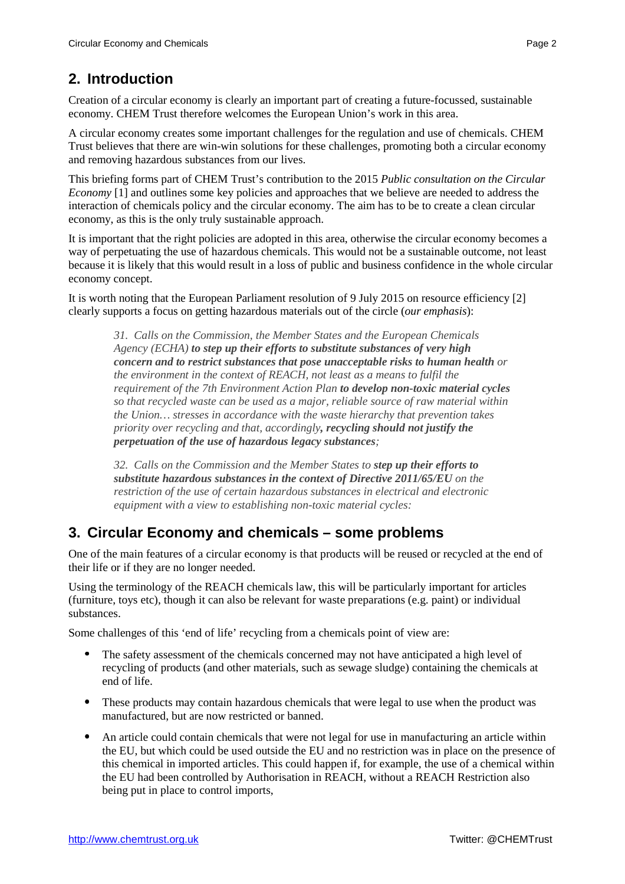# **2. Introduction**

Creation of a circular economy is clearly an important part of creating a future-focussed, sustainable economy. CHEM Trust therefore welcomes the European Union's work in this area.

A circular economy creates some important challenges for the regulation and use of chemicals. CHEM Trust believes that there are win-win solutions for these challenges, promoting both a circular economy and removing hazardous substances from our lives.

This briefing forms part of CHEM Trust's contribution to the 2015 *Public consultation on the Circular Economy* [1] and outlines some key policies and approaches that we believe are needed to address the interaction of chemicals policy and the circular economy. The aim has to be to create a clean circular economy, as this is the only truly sustainable approach.

It is important that the right policies are adopted in this area, otherwise the circular economy becomes a way of perpetuating the use of hazardous chemicals. This would not be a sustainable outcome, not least because it is likely that this would result in a loss of public and business confidence in the whole circular economy concept.

It is worth noting that the European Parliament resolution of 9 July 2015 on resource efficiency [2] clearly supports a focus on getting hazardous materials out of the circle (*our emphasis*):

*31. Calls on the Commission, the Member States and the European Chemicals Agency (ECHA) to step up their efforts to substitute substances of very high concern and to restrict substances that pose unacceptable risks to human health or the environment in the context of REACH, not least as a means to fulfil the requirement of the 7th Environment Action Plan to develop non-toxic material cycles so that recycled waste can be used as a major, reliable source of raw material within the Union… stresses in accordance with the waste hierarchy that prevention takes priority over recycling and that, accordingly, recycling should not justify the perpetuation of the use of hazardous legacy substances;* 

*32. Calls on the Commission and the Member States to step up their efforts to substitute hazardous substances in the context of Directive 2011/65/EU on the restriction of the use of certain hazardous substances in electrical and electronic equipment with a view to establishing non-toxic material cycles:* 

# **3. Circular Economy and chemicals – some problems**

One of the main features of a circular economy is that products will be reused or recycled at the end of their life or if they are no longer needed.

Using the terminology of the REACH chemicals law, this will be particularly important for articles (furniture, toys etc), though it can also be relevant for waste preparations (e.g. paint) or individual substances.

Some challenges of this 'end of life' recycling from a chemicals point of view are:

- The safety assessment of the chemicals concerned may not have anticipated a high level of recycling of products (and other materials, such as sewage sludge) containing the chemicals at end of life.
- These products may contain hazardous chemicals that were legal to use when the product was manufactured, but are now restricted or banned.
- An article could contain chemicals that were not legal for use in manufacturing an article within the EU, but which could be used outside the EU and no restriction was in place on the presence of this chemical in imported articles. This could happen if, for example, the use of a chemical within the EU had been controlled by Authorisation in REACH, without a REACH Restriction also being put in place to control imports,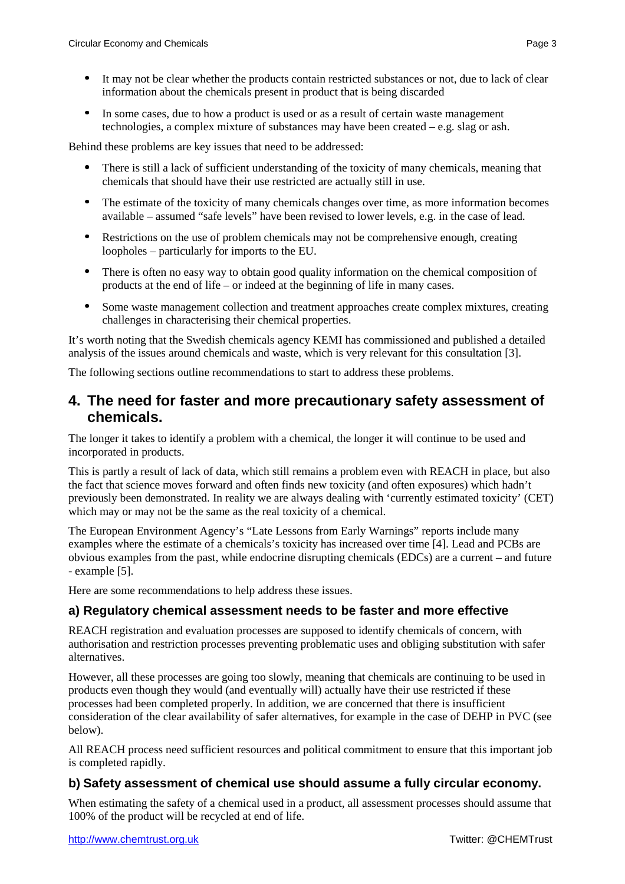• In some cases, due to how a product is used or as a result of certain waste management technologies, a complex mixture of substances may have been created – e.g. slag or ash.

Behind these problems are key issues that need to be addressed:

- There is still a lack of sufficient understanding of the toxicity of many chemicals, meaning that chemicals that should have their use restricted are actually still in use.
- The estimate of the toxicity of many chemicals changes over time, as more information becomes available – assumed "safe levels" have been revised to lower levels, e.g. in the case of lead.
- Restrictions on the use of problem chemicals may not be comprehensive enough, creating loopholes – particularly for imports to the EU.
- There is often no easy way to obtain good quality information on the chemical composition of products at the end of life – or indeed at the beginning of life in many cases.
- Some waste management collection and treatment approaches create complex mixtures, creating challenges in characterising their chemical properties.

It's worth noting that the Swedish chemicals agency KEMI has commissioned and published a detailed analysis of the issues around chemicals and waste, which is very relevant for this consultation [3].

The following sections outline recommendations to start to address these problems.

# **4. The need for faster and more precautionary safety assessment of chemicals.**

The longer it takes to identify a problem with a chemical, the longer it will continue to be used and incorporated in products.

This is partly a result of lack of data, which still remains a problem even with REACH in place, but also the fact that science moves forward and often finds new toxicity (and often exposures) which hadn't previously been demonstrated. In reality we are always dealing with 'currently estimated toxicity' (CET) which may or may not be the same as the real toxicity of a chemical.

The European Environment Agency's "Late Lessons from Early Warnings" reports include many examples where the estimate of a chemicals's toxicity has increased over time [4]. Lead and PCBs are obvious examples from the past, while endocrine disrupting chemicals (EDCs) are a current – and future - example [5].

Here are some recommendations to help address these issues.

## **a) Regulatory chemical assessment needs to be faster and more effective**

REACH registration and evaluation processes are supposed to identify chemicals of concern, with authorisation and restriction processes preventing problematic uses and obliging substitution with safer alternatives.

However, all these processes are going too slowly, meaning that chemicals are continuing to be used in products even though they would (and eventually will) actually have their use restricted if these processes had been completed properly. In addition, we are concerned that there is insufficient consideration of the clear availability of safer alternatives, for example in the case of DEHP in PVC (see below).

All REACH process need sufficient resources and political commitment to ensure that this important job is completed rapidly.

## **b) Safety assessment of chemical use should assume a fully circular economy.**

When estimating the safety of a chemical used in a product, all assessment processes should assume that 100% of the product will be recycled at end of life.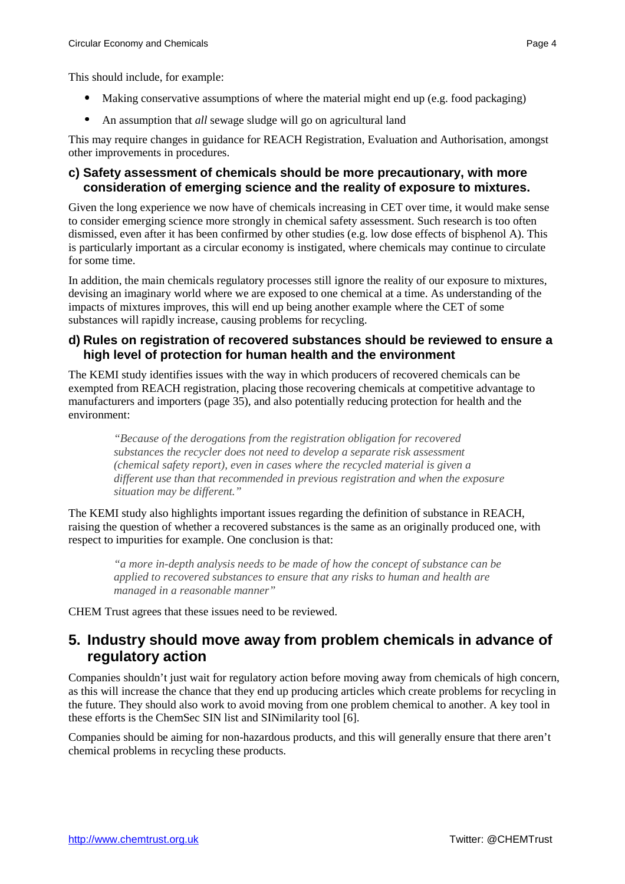- Making conservative assumptions of where the material might end up (e.g. food packaging)
- An assumption that *all* sewage sludge will go on agricultural land

This may require changes in guidance for REACH Registration, Evaluation and Authorisation, amongst other improvements in procedures.

## **c) Safety assessment of chemicals should be more precautionary, with more consideration of emerging science and the reality of exposure to mixtures.**

Given the long experience we now have of chemicals increasing in CET over time, it would make sense to consider emerging science more strongly in chemical safety assessment. Such research is too often dismissed, even after it has been confirmed by other studies (e.g. low dose effects of bisphenol A). This is particularly important as a circular economy is instigated, where chemicals may continue to circulate for some time.

In addition, the main chemicals regulatory processes still ignore the reality of our exposure to mixtures, devising an imaginary world where we are exposed to one chemical at a time. As understanding of the impacts of mixtures improves, this will end up being another example where the CET of some substances will rapidly increase, causing problems for recycling.

## **d) Rules on registration of recovered substances should be reviewed to ensure a high level of protection for human health and the environment**

The KEMI study identifies issues with the way in which producers of recovered chemicals can be exempted from REACH registration, placing those recovering chemicals at competitive advantage to manufacturers and importers (page 35), and also potentially reducing protection for health and the environment:

*"Because of the derogations from the registration obligation for recovered substances the recycler does not need to develop a separate risk assessment (chemical safety report), even in cases where the recycled material is given a different use than that recommended in previous registration and when the exposure situation may be different."* 

The KEMI study also highlights important issues regarding the definition of substance in REACH, raising the question of whether a recovered substances is the same as an originally produced one, with respect to impurities for example. One conclusion is that:

*"a more in-depth analysis needs to be made of how the concept of substance can be applied to recovered substances to ensure that any risks to human and health are managed in a reasonable manner"* 

CHEM Trust agrees that these issues need to be reviewed.

# **5. Industry should move away from problem chemicals in advance of regulatory action**

Companies shouldn't just wait for regulatory action before moving away from chemicals of high concern, as this will increase the chance that they end up producing articles which create problems for recycling in the future. They should also work to avoid moving from one problem chemical to another. A key tool in these efforts is the ChemSec SIN list and SINimilarity tool [6].

Companies should be aiming for non-hazardous products, and this will generally ensure that there aren't chemical problems in recycling these products.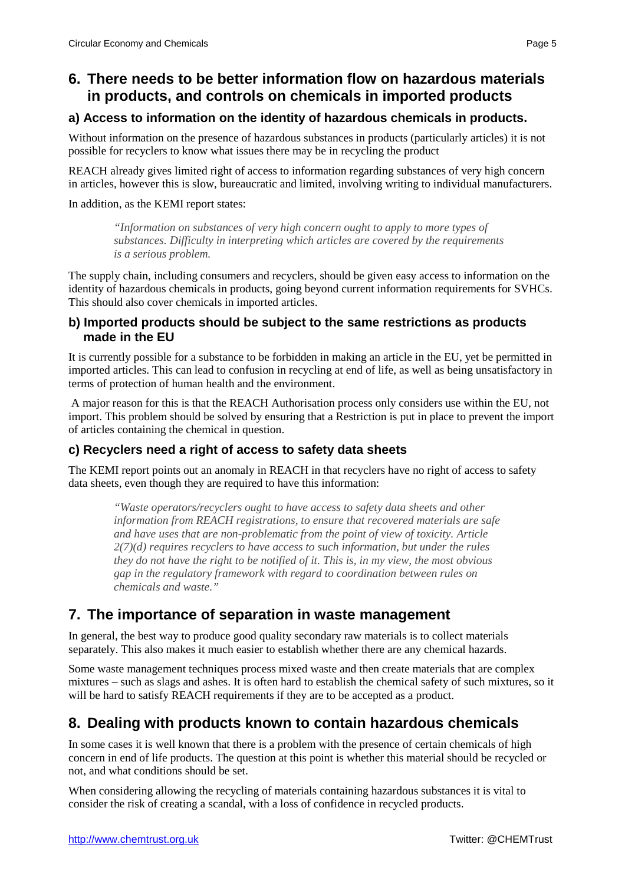# **6. There needs to be better information flow on hazardous materials in products, and controls on chemicals in imported products**

# **a) Access to information on the identity of hazardous chemicals in products.**

Without information on the presence of hazardous substances in products (particularly articles) it is not possible for recyclers to know what issues there may be in recycling the product

REACH already gives limited right of access to information regarding substances of very high concern in articles, however this is slow, bureaucratic and limited, involving writing to individual manufacturers.

In addition, as the KEMI report states:

*"Information on substances of very high concern ought to apply to more types of substances. Difficulty in interpreting which articles are covered by the requirements is a serious problem.* 

The supply chain, including consumers and recyclers, should be given easy access to information on the identity of hazardous chemicals in products, going beyond current information requirements for SVHCs. This should also cover chemicals in imported articles.

# **b) Imported products should be subject to the same restrictions as products made in the EU**

It is currently possible for a substance to be forbidden in making an article in the EU, yet be permitted in imported articles. This can lead to confusion in recycling at end of life, as well as being unsatisfactory in terms of protection of human health and the environment.

 A major reason for this is that the REACH Authorisation process only considers use within the EU, not import. This problem should be solved by ensuring that a Restriction is put in place to prevent the import of articles containing the chemical in question.

# **c) Recyclers need a right of access to safety data sheets**

The KEMI report points out an anomaly in REACH in that recyclers have no right of access to safety data sheets, even though they are required to have this information:

*"Waste operators/recyclers ought to have access to safety data sheets and other information from REACH registrations, to ensure that recovered materials are safe and have uses that are non-problematic from the point of view of toxicity. Article 2(7)(d) requires recyclers to have access to such information, but under the rules they do not have the right to be notified of it. This is, in my view, the most obvious gap in the regulatory framework with regard to coordination between rules on chemicals and waste."* 

# **7. The importance of separation in waste management**

In general, the best way to produce good quality secondary raw materials is to collect materials separately. This also makes it much easier to establish whether there are any chemical hazards.

Some waste management techniques process mixed waste and then create materials that are complex mixtures – such as slags and ashes. It is often hard to establish the chemical safety of such mixtures, so it will be hard to satisfy REACH requirements if they are to be accepted as a product.

# **8. Dealing with products known to contain hazardous chemicals**

In some cases it is well known that there is a problem with the presence of certain chemicals of high concern in end of life products. The question at this point is whether this material should be recycled or not, and what conditions should be set.

When considering allowing the recycling of materials containing hazardous substances it is vital to consider the risk of creating a scandal, with a loss of confidence in recycled products.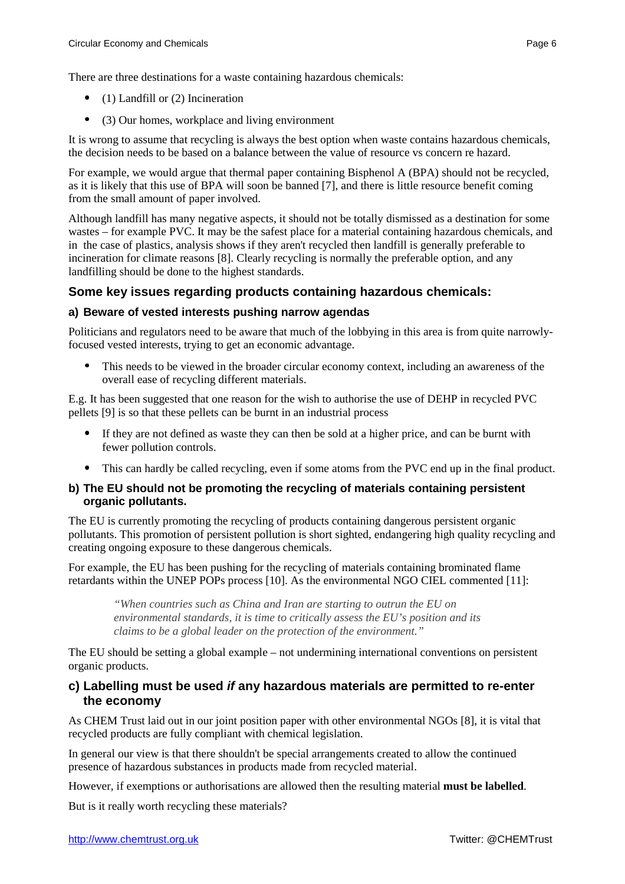There are three destinations for a waste containing hazardous chemicals:

- $\bullet$  (1) Landfill or (2) Incineration
- (3) Our homes, workplace and living environment

It is wrong to assume that recycling is always the best option when waste contains hazardous chemicals, the decision needs to be based on a balance between the value of resource vs concern re hazard.

For example, we would argue that thermal paper containing Bisphenol A (BPA) should not be recycled, as it is likely that this use of BPA will soon be banned [7], and there is little resource benefit coming from the small amount of paper involved.

Although landfill has many negative aspects, it should not be totally dismissed as a destination for some wastes – for example PVC. It may be the safest place for a material containing hazardous chemicals, and in the case of plastics, analysis shows if they aren't recycled then landfill is generally preferable to incineration for climate reasons [8]. Clearly recycling is normally the preferable option, and any landfilling should be done to the highest standards.

# **Some key issues regarding products containing hazardous chemicals:**

## **a) Beware of vested interests pushing narrow agendas**

Politicians and regulators need to be aware that much of the lobbying in this area is from quite narrowlyfocused vested interests, trying to get an economic advantage.

• This needs to be viewed in the broader circular economy context, including an awareness of the overall ease of recycling different materials.

E.g. It has been suggested that one reason for the wish to authorise the use of DEHP in recycled PVC pellets [9] is so that these pellets can be burnt in an industrial process

- If they are not defined as waste they can then be sold at a higher price, and can be burnt with fewer pollution controls.
- This can hardly be called recycling, even if some atoms from the PVC end up in the final product.

### **b) The EU should not be promoting the recycling of materials containing persistent organic pollutants.**

The EU is currently promoting the recycling of products containing dangerous persistent organic pollutants. This promotion of persistent pollution is short sighted, endangering high quality recycling and creating ongoing exposure to these dangerous chemicals.

For example, the EU has been pushing for the recycling of materials containing brominated flame retardants within the UNEP POPs process [10]. As the environmental NGO CIEL commented [11]:

*"When countries such as China and Iran are starting to outrun the EU on environmental standards, it is time to critically assess the EU's position and its claims to be a global leader on the protection of the environment."* 

The EU should be setting a global example – not undermining international conventions on persistent organic products.

## **c) Labelling must be used if any hazardous materials are permitted to re-enter the economy**

As CHEM Trust laid out in our joint position paper with other environmental NGOs [8], it is vital that recycled products are fully compliant with chemical legislation.

In general our view is that there shouldn't be special arrangements created to allow the continued presence of hazardous substances in products made from recycled material.

However, if exemptions or authorisations are allowed then the resulting material **must be labelled**.

But is it really worth recycling these materials?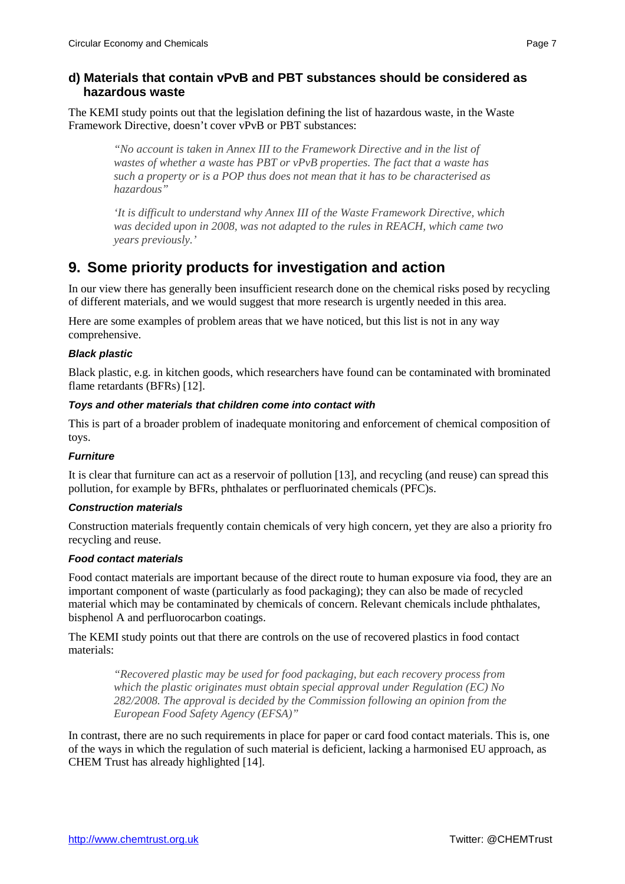# **d) Materials that contain vPvB and PBT substances should be considered as hazardous waste**

The KEMI study points out that the legislation defining the list of hazardous waste, in the Waste Framework Directive, doesn't cover vPvB or PBT substances:

*"No account is taken in Annex III to the Framework Directive and in the list of wastes of whether a waste has PBT or vPvB properties. The fact that a waste has such a property or is a POP thus does not mean that it has to be characterised as hazardous"* 

*'It is difficult to understand why Annex III of the Waste Framework Directive, which was decided upon in 2008, was not adapted to the rules in REACH, which came two years previously.'* 

# **9. Some priority products for investigation and action**

In our view there has generally been insufficient research done on the chemical risks posed by recycling of different materials, and we would suggest that more research is urgently needed in this area.

Here are some examples of problem areas that we have noticed, but this list is not in any way comprehensive.

## **Black plastic**

Black plastic, e.g. in kitchen goods, which researchers have found can be contaminated with brominated flame retardants (BFRs) [12].

### **Toys and other materials that children come into contact with**

This is part of a broader problem of inadequate monitoring and enforcement of chemical composition of toys.

### **Furniture**

It is clear that furniture can act as a reservoir of pollution [13], and recycling (and reuse) can spread this pollution, for example by BFRs, phthalates or perfluorinated chemicals (PFC)s.

### **Construction materials**

Construction materials frequently contain chemicals of very high concern, yet they are also a priority fro recycling and reuse.

### **Food contact materials**

Food contact materials are important because of the direct route to human exposure via food, they are an important component of waste (particularly as food packaging); they can also be made of recycled material which may be contaminated by chemicals of concern. Relevant chemicals include phthalates, bisphenol A and perfluorocarbon coatings.

The KEMI study points out that there are controls on the use of recovered plastics in food contact materials:

*"Recovered plastic may be used for food packaging, but each recovery process from which the plastic originates must obtain special approval under Regulation (EC) No 282/2008. The approval is decided by the Commission following an opinion from the European Food Safety Agency (EFSA)"* 

In contrast, there are no such requirements in place for paper or card food contact materials. This is, one of the ways in which the regulation of such material is deficient, lacking a harmonised EU approach, as CHEM Trust has already highlighted [14].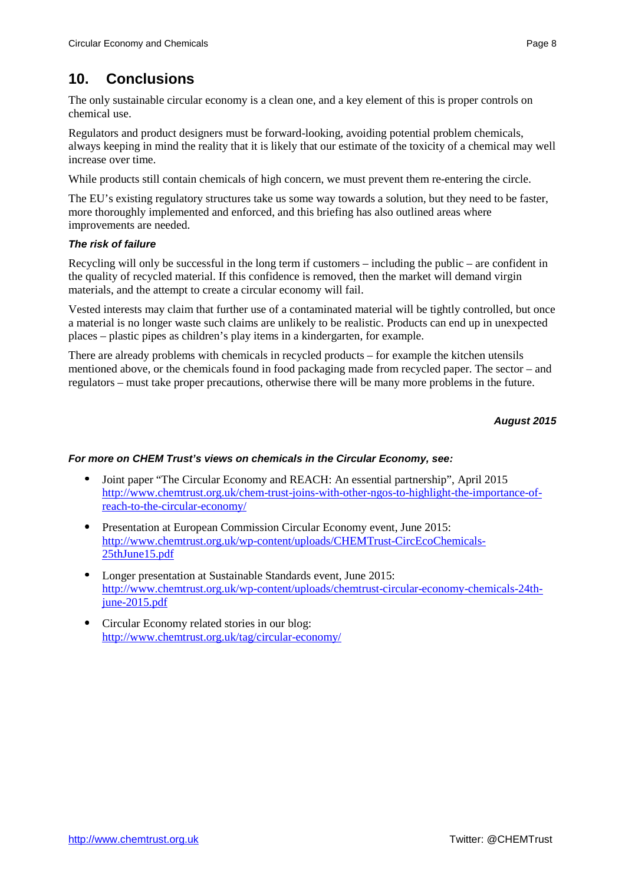# **10. Conclusions**

The only sustainable circular economy is a clean one, and a key element of this is proper controls on chemical use.

Regulators and product designers must be forward-looking, avoiding potential problem chemicals, always keeping in mind the reality that it is likely that our estimate of the toxicity of a chemical may well increase over time.

While products still contain chemicals of high concern, we must prevent them re-entering the circle.

The EU's existing regulatory structures take us some way towards a solution, but they need to be faster, more thoroughly implemented and enforced, and this briefing has also outlined areas where improvements are needed.

### **The risk of failure**

Recycling will only be successful in the long term if customers – including the public – are confident in the quality of recycled material. If this confidence is removed, then the market will demand virgin materials, and the attempt to create a circular economy will fail.

Vested interests may claim that further use of a contaminated material will be tightly controlled, but once a material is no longer waste such claims are unlikely to be realistic. Products can end up in unexpected places – plastic pipes as children's play items in a kindergarten, for example.

There are already problems with chemicals in recycled products – for example the kitchen utensils mentioned above, or the chemicals found in food packaging made from recycled paper. The sector – and regulators – must take proper precautions, otherwise there will be many more problems in the future.

## **August 2015**

### **For more on CHEM Trust's views on chemicals in the Circular Economy, see:**

- Joint paper "The Circular Economy and REACH: An essential partnership", April 2015 [http://www.chemtrust.org.uk/chem-trust-joins-with-other-ngos-to-highlight-the-importance-of](http://www.chemtrust.org.uk/chem-trust-joins-with-other-ngos-to-highlight-the-importance-of-reach-to-the-circular-economy/)reach-to-the-circular-economy/
- Presentation at European Commission Circular Economy event, June 2015: [http://www.chemtrust.org.uk/wp-content/uploads/CHEMTrust-CircEcoChemicals-](http://www.chemtrust.org.uk/wp-content/uploads/CHEMTrust-CircEcoChemicals-25thJune15.pdf)25thJune15.pdf
- Longer presentation at Sustainable Standards event, June 2015: [http://www.chemtrust.org.uk/wp-content/uploads/chemtrust-circular-economy-chemicals-24th](http://www.chemtrust.org.uk/wp-content/uploads/chemtrust-circular-economy-chemicals-24th-june-2015.pdf)june-2015.pdf
- Circular Economy related stories in our blog: <http://www.chemtrust.org.uk/tag/circular-economy/>